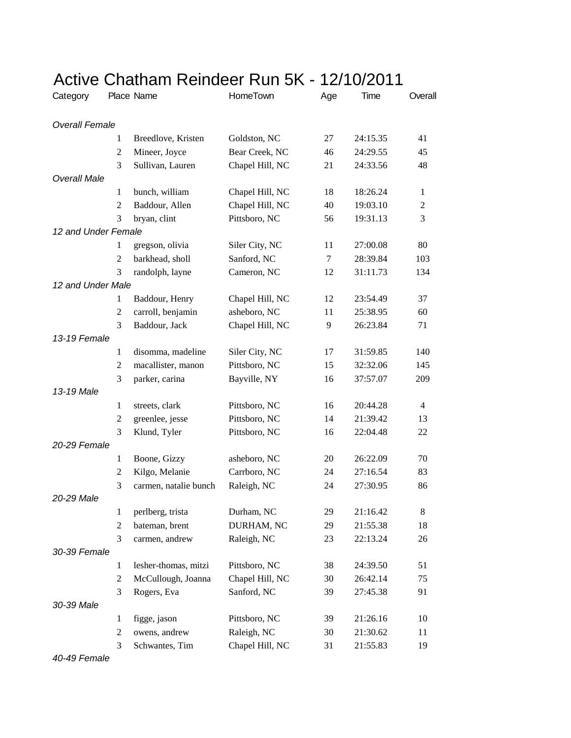|                       |                | Active Chatham Reindeer Run 5K - 12/10/2011 |                 |     |          |                |
|-----------------------|----------------|---------------------------------------------|-----------------|-----|----------|----------------|
| Category              |                | Place Name                                  | HomeTown        | Age | Time     | Overall        |
| <b>Overall Female</b> |                |                                             |                 |     |          |                |
|                       | 1              | Breedlove, Kristen                          | Goldston, NC    | 27  | 24:15.35 | 41             |
|                       | 2              | Mineer, Joyce                               | Bear Creek, NC  | 46  | 24:29.55 | 45             |
|                       | 3              | Sullivan, Lauren                            | Chapel Hill, NC | 21  | 24:33.56 | 48             |
| <b>Overall Male</b>   |                |                                             |                 |     |          |                |
|                       | 1              | bunch, william                              | Chapel Hill, NC | 18  | 18:26.24 | 1              |
|                       | 2              | Baddour, Allen                              | Chapel Hill, NC | 40  | 19:03.10 | $\overline{2}$ |
|                       | 3              | bryan, clint                                | Pittsboro, NC   | 56  | 19:31.13 | 3              |
| 12 and Under Female   |                |                                             |                 |     |          |                |
|                       | 1              | gregson, olivia                             | Siler City, NC  | 11  | 27:00.08 | 80             |
|                       | 2              | barkhead, sholl                             | Sanford, NC     | 7   | 28:39.84 | 103            |
|                       | 3              | randolph, layne                             | Cameron, NC     | 12  | 31:11.73 | 134            |
| 12 and Under Male     |                |                                             |                 |     |          |                |
|                       | 1              | Baddour, Henry                              | Chapel Hill, NC | 12  | 23:54.49 | 37             |
|                       | $\overline{c}$ | carroll, benjamin                           | asheboro, NC    | 11  | 25:38.95 | 60             |
|                       | 3              | Baddour, Jack                               | Chapel Hill, NC | 9   | 26:23.84 | 71             |
| 13-19 Female          |                |                                             |                 |     |          |                |
|                       | $\mathbf{1}$   | disomma, madeline                           | Siler City, NC  | 17  | 31:59.85 | 140            |
|                       | $\overline{c}$ | macallister, manon                          | Pittsboro, NC   | 15  | 32:32.06 | 145            |
|                       | 3              | parker, carina                              | Bayville, NY    | 16  | 37:57.07 | 209            |
| 13-19 Male            |                |                                             |                 |     |          |                |
|                       | $\mathbf{1}$   | streets, clark                              | Pittsboro, NC   | 16  | 20:44.28 | 4              |
|                       | 2              | greenlee, jesse                             | Pittsboro, NC   | 14  | 21:39.42 | 13             |
|                       | 3              | Klund, Tyler                                | Pittsboro, NC   | 16  | 22:04.48 | 22             |
| 20-29 Female          |                |                                             |                 |     |          |                |
|                       | $\mathbf{1}$   | Boone, Gizzy                                | asheboro, NC    | 20  | 26:22.09 | 70             |
|                       | 2              | Kilgo, Melanie                              | Carrboro, NC    | 24  | 27:16.54 | 83             |
|                       | $\mathcal{F}$  | carmen, natalie bunch                       | Raleigh, NC     | 24  | 27:30.95 | 86             |
| 20-29 Male            |                |                                             |                 |     |          |                |
|                       | $\mathbf{1}$   | perlberg, trista                            | Durham, NC      | 29  | 21:16.42 | 8              |
|                       | $\overline{2}$ | bateman, brent                              | DURHAM, NC      | 29  | 21:55.38 | 18             |
|                       | 3              | carmen, andrew                              | Raleigh, NC     | 23  | 22:13.24 | 26             |
| 30-39 Female          |                |                                             |                 |     |          |                |
|                       | $\mathbf{1}$   | lesher-thomas, mitzi                        | Pittsboro, NC   | 38  | 24:39.50 | 51             |
|                       | $\overline{c}$ | McCullough, Joanna                          | Chapel Hill, NC | 30  | 26:42.14 | 75             |
|                       | 3              | Rogers, Eva                                 | Sanford, NC     | 39  | 27:45.38 | 91             |
| 30-39 Male            |                |                                             |                 |     |          |                |
|                       | $\mathbf{1}$   | figge, jason                                | Pittsboro, NC   | 39  | 21:26.16 | 10             |
|                       | 2              | owens, andrew                               | Raleigh, NC     | 30  | 21:30.62 | 11             |
|                       | 3              | Schwantes, Tim                              | Chapel Hill, NC | 31  | 21:55.83 | 19             |

*40-49 Female*